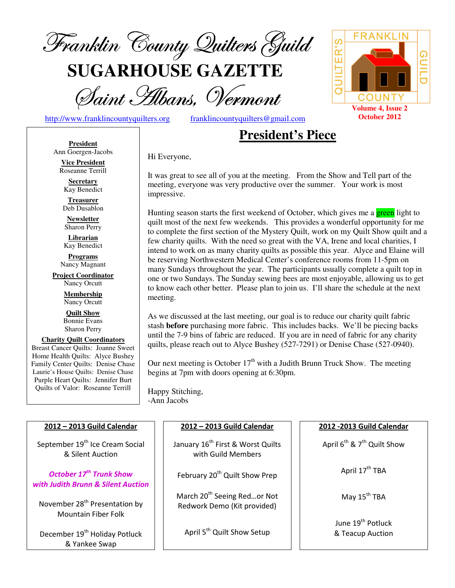

**SUGARHOUSE GAZETTE**

Saint Hibans, Vermont

http://www.franklincountyquilters.org franklincountyquilters@gmail.com

# **President's Piece**

**President** Ann Goergen-Jacobs

**Vice President**  Roseanne Terrill

**Secretary**  Kay Benedict

**Treasurer**  Deb Dusablon

**Newsletter**  Sharon Perry

**Librarian**  Kay Benedict

**Programs** Nancy Magnant

**Project Coordinator** Nancy Orcutt

> **Membership**  Nancy Orcutt

**Quilt Show** Bonnie Evans Sharon Perry

**Charity Quilt Coordinators** Breast Cancer Quilts: Joanne Sweet Home Health Quilts: Alyce Bushey Family Center Quilts: Denise Chase Laurie's House Quilts: Denise Chase Purple Heart Quilts: Jennifer Burt Quilts of Valor: Roseanne Terrill

Hi Everyone,

It was great to see all of you at the meeting. From the Show and Tell part of the meeting, everyone was very productive over the summer. Your work is most impressive.

Hunting season starts the first weekend of October, which gives me a green light to quilt most of the next few weekends. This provides a wonderful opportunity for me to complete the first section of the Mystery Quilt, work on my Quilt Show quilt and a few charity quilts. With the need so great with the VA, Irene and local charities, I intend to work on as many charity quilts as possible this year. Alyce and Elaine will be reserving Northwestern Medical Center's conference rooms from 11-5pm on many Sundays throughout the year. The participants usually complete a quilt top in one or two Sundays. The Sunday sewing bees are most enjoyable, allowing us to get to know each other better. Please plan to join us. I'll share the schedule at the next meeting.

As we discussed at the last meeting, our goal is to reduce our charity quilt fabric stash **before** purchasing more fabric. This includes backs. We'll be piecing backs until the 7-9 bins of fabric are reduced. If you are in need of fabric for any charity quilts, please reach out to Alyce Bushey (527-7291) or Denise Chase (527-0940).

Our next meeting is October  $17<sup>th</sup>$  with a Judith Brunn Truck Show. The meeting begins at 7pm with doors opening at 6:30pm.

Happy Stitching, -Ann Jacobs

| 2012 - 2013 Guild Calendar                                                | 2012 - 2013 Guild Calendar                                             | 2012 - 2013 Guild Calendar                         |
|---------------------------------------------------------------------------|------------------------------------------------------------------------|----------------------------------------------------|
| September 19 <sup>th</sup> Ice Cream Social<br>& Silent Auction           | January 16 <sup>th</sup> First & Worst Quilts<br>with Guild Members    | April 6 <sup>th</sup> & 7 <sup>th</sup> Quilt Show |
| October 17 <sup>th</sup> Trunk Show<br>with Judith Brunn & Silent Auction | February 20 <sup>th</sup> Quilt Show Prep                              | April 17 <sup>th</sup> TBA                         |
| November 28 <sup>th</sup> Presentation by<br><b>Mountain Fiber Folk</b>   | March 20 <sup>th</sup> Seeing Redor Not<br>Redwork Demo (Kit provided) | May 15 <sup>th</sup> TBA                           |
| December 19 <sup>th</sup> Holiday Potluck<br>& Yankee Swap                | April 5 <sup>th</sup> Quilt Show Setup                                 | June 19 <sup>th</sup> Potluck<br>& Teacup Auction  |

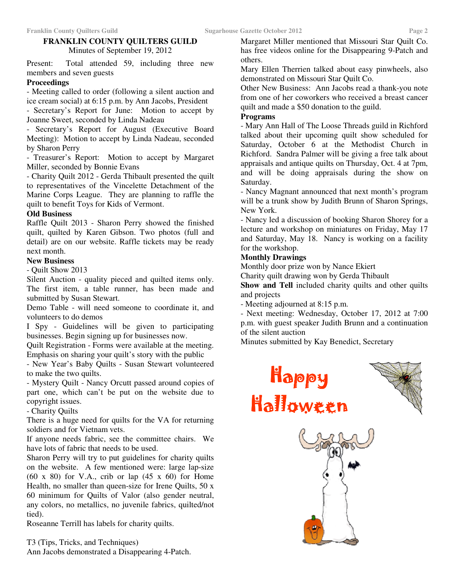# **FRANKLIN COUNTY QUILTERS GUILD**

Minutes of September 19, 2012

Present: Total attended 59, including three new members and seven guests

#### **Proceedings**

- Meeting called to order (following a silent auction and ice cream social) at 6:15 p.m. by Ann Jacobs, President

- Secretary's Report for June: Motion to accept by Joanne Sweet, seconded by Linda Nadeau

Secretary's Report for August (Executive Board Meeting): Motion to accept by Linda Nadeau, seconded by Sharon Perry

- Treasurer's Report: Motion to accept by Margaret Miller, seconded by Bonnie Evans

- Charity Quilt 2012 - Gerda Thibault presented the quilt to representatives of the Vincelette Detachment of the Marine Corps League. They are planning to raffle the quilt to benefit Toys for Kids of Vermont.

#### **Old Business**

Raffle Quilt 2013 - Sharon Perry showed the finished quilt, quilted by Karen Gibson. Two photos (full and detail) are on our website. Raffle tickets may be ready next month.

#### **New Business**

- Quilt Show 2013

Silent Auction - quality pieced and quilted items only. The first item, a table runner, has been made and submitted by Susan Stewart.

Demo Table - will need someone to coordinate it, and volunteers to do demos

I Spy - Guidelines will be given to participating businesses. Begin signing up for businesses now.

Quilt Registration - Forms were available at the meeting. Emphasis on sharing your quilt's story with the public

- New Year's Baby Quilts - Susan Stewart volunteered to make the two quilts.

- Mystery Quilt - Nancy Orcutt passed around copies of part one, which can't be put on the website due to copyright issues.

- Charity Quilts

There is a huge need for quilts for the VA for returning soldiers and for Vietnam vets.

If anyone needs fabric, see the committee chairs. We have lots of fabric that needs to be used.

Sharon Perry will try to put guidelines for charity quilts on the website. A few mentioned were: large lap-size  $(60 \times 80)$  for V.A., crib or lap  $(45 \times 60)$  for Home Health, no smaller than queen-size for Irene Quilts, 50 x 60 minimum for Quilts of Valor (also gender neutral, any colors, no metallics, no juvenile fabrics, quilted/not tied).

Roseanne Terrill has labels for charity quilts.

T3 (Tips, Tricks, and Techniques) Ann Jacobs demonstrated a Disappearing 4-Patch.

Margaret Miller mentioned that Missouri Star Quilt Co. has free videos online for the Disappearing 9-Patch and others.

Mary Ellen Therrien talked about easy pinwheels, also demonstrated on Missouri Star Quilt Co.

Other New Business: Ann Jacobs read a thank-you note from one of her coworkers who received a breast cancer quilt and made a \$50 donation to the guild.

# **Programs**

- Mary Ann Hall of The Loose Threads guild in Richford talked about their upcoming quilt show scheduled for Saturday, October 6 at the Methodist Church in Richford. Sandra Palmer will be giving a free talk about appraisals and antique quilts on Thursday, Oct. 4 at 7pm, and will be doing appraisals during the show on Saturday.

- Nancy Magnant announced that next month's program will be a trunk show by Judith Brunn of Sharon Springs, New York.

- Nancy led a discussion of booking Sharon Shorey for a lecture and workshop on miniatures on Friday, May 17 and Saturday, May 18. Nancy is working on a facility for the workshop.

## **Monthly Drawings**

Monthly door prize won by Nance Ekiert

Charity quilt drawing won by Gerda Thibault

**Show and Tell** included charity quilts and other quilts and projects

- Meeting adjourned at 8:15 p.m.

- Next meeting: Wednesday, October 17, 2012 at 7:00 p.m. with guest speaker Judith Brunn and a continuation of the silent auction

Minutes submitted by Kay Benedict, Secretary



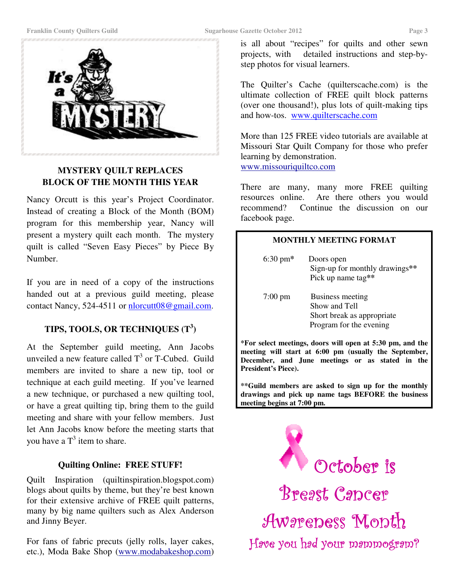

# **MYSTERY QUILT REPLACES BLOCK OF THE MONTH THIS YEAR**

Nancy Orcutt is this year's Project Coordinator. Instead of creating a Block of the Month (BOM) program for this membership year, Nancy will present a mystery quilt each month. The mystery quilt is called "Seven Easy Pieces" by Piece By Number.

If you are in need of a copy of the instructions handed out at a previous guild meeting, please contact Nancy, 524-4511 or nlorcutt08@gmail.com.

# **TIPS, TOOLS, OR TECHNIQUES (T<sup>3</sup> )**

At the September guild meeting, Ann Jacobs unveiled a new feature called  $T^3$  or T-Cubed. Guild members are invited to share a new tip, tool or technique at each guild meeting. If you've learned a new technique, or purchased a new quilting tool, or have a great quilting tip, bring them to the guild meeting and share with your fellow members. Just let Ann Jacobs know before the meeting starts that you have a  $T^3$  item to share.

# **Quilting Online: FREE STUFF!**

Quilt Inspiration (quiltinspiration.blogspot.com) blogs about quilts by theme, but they're best known for their extensive archive of FREE quilt patterns, many by big name quilters such as Alex Anderson and Jinny Beyer.

For fans of fabric precuts (jelly rolls, layer cakes, etc.), Moda Bake Shop (www.modabakeshop.com) is all about "recipes" for quilts and other sewn projects, with detailed instructions and step-bystep photos for visual learners.

The Quilter's Cache (quilterscache.com) is the ultimate collection of FREE quilt block patterns (over one thousand!), plus lots of quilt-making tips and how-tos. www.quilterscache.com

More than 125 FREE video tutorials are available at Missouri Star Quilt Company for those who prefer learning by demonstration. www.missouriquiltco.com

There are many, many more FREE quilting resources online. Are there others you would recommend? Continue the discussion on our facebook page.

#### **MONTHLY MEETING FORMAT**

| $6:30 \text{ pm*}$ | Doors open<br>Sign-up for monthly drawings**<br>Pick up name tag**                                |
|--------------------|---------------------------------------------------------------------------------------------------|
| $7:00 \text{ pm}$  | <b>Business meeting</b><br>Show and Tell<br>Short break as appropriate<br>Program for the evening |

**\*For select meetings, doors will open at 5:30 pm, and the meeting will start at 6:00 pm (usually the September, December, and June meetings or as stated in the President's Piece).** 

**\*\*Guild members are asked to sign up for the monthly drawings and pick up name tags BEFORE the business meeting begins at 7:00 pm.** 

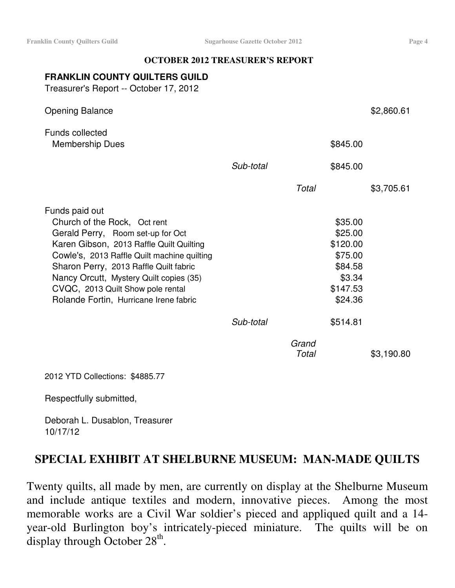#### **OCTOBER 2012 TREASURER'S REPORT**

# **FRANKLIN COUNTY QUILTERS GUILD**

Treasurer's Report -- October 17, 2012

| <b>Opening Balance</b>                                                                                                                                                                                                                                                                                                                             |           |                |                                                                                       | \$2,860.61 |
|----------------------------------------------------------------------------------------------------------------------------------------------------------------------------------------------------------------------------------------------------------------------------------------------------------------------------------------------------|-----------|----------------|---------------------------------------------------------------------------------------|------------|
| <b>Funds collected</b><br>Membership Dues                                                                                                                                                                                                                                                                                                          |           |                | \$845.00                                                                              |            |
|                                                                                                                                                                                                                                                                                                                                                    | Sub-total |                | \$845.00                                                                              |            |
|                                                                                                                                                                                                                                                                                                                                                    |           | Total          |                                                                                       | \$3,705.61 |
| Funds paid out<br>Church of the Rock, Oct rent<br>Gerald Perry, Room set-up for Oct<br>Karen Gibson, 2013 Raffle Quilt Quilting<br>Cowle's, 2013 Raffle Quilt machine quilting<br>Sharon Perry, 2013 Raffle Quilt fabric<br>Nancy Orcutt, Mystery Quilt copies (35)<br>CVQC, 2013 Quilt Show pole rental<br>Rolande Fortin, Hurricane Irene fabric |           |                | \$35.00<br>\$25.00<br>\$120.00<br>\$75.00<br>\$84.58<br>\$3.34<br>\$147.53<br>\$24.36 |            |
|                                                                                                                                                                                                                                                                                                                                                    | Sub-total |                | \$514.81                                                                              |            |
|                                                                                                                                                                                                                                                                                                                                                    |           | Grand<br>Total |                                                                                       | \$3,190.80 |

2012 YTD Collections: \$4885.77

Respectfully submitted,

Deborah L. Dusablon, Treasurer 10/17/12

# **SPECIAL EXHIBIT AT SHELBURNE MUSEUM: MAN-MADE QUILTS**

Twenty quilts, all made by men, are currently on display at the Shelburne Museum and include antique textiles and modern, innovative pieces. Among the most memorable works are a Civil War soldier's pieced and appliqued quilt and a 14 year-old Burlington boy's intricately-pieced miniature. The quilts will be on display through October  $28<sup>th</sup>$ .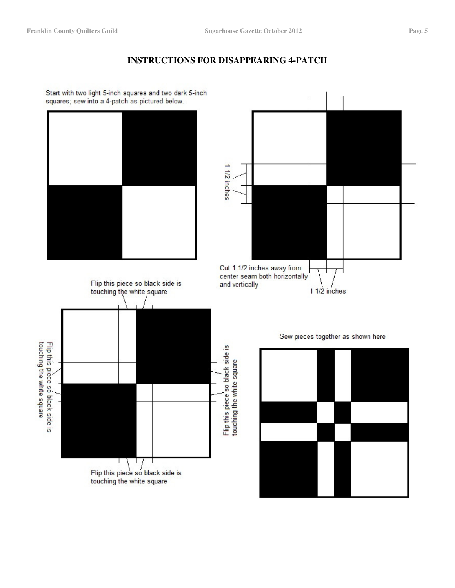# **INSTRUCTIONS FOR DISAPPEARING 4-PATCH**